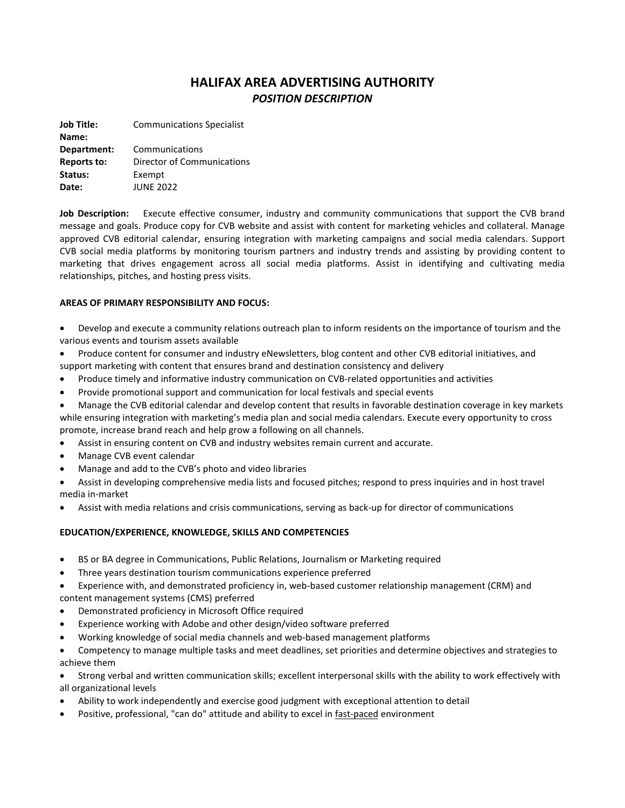# **HALIFAX AREA ADVERTISING AUTHORITY** *POSITION DESCRIPTION*

**Job Title: Communications Specialist Name: Department:** Communications **Reports to:** Director of Communications **Status:** Exempt **Date:** JUNE 2022

**Job Description:** Execute effective consumer, industry and community communications that support the CVB brand message and goals. Produce copy for CVB website and assist with content for marketing vehicles and collateral. Manage approved CVB editorial calendar, ensuring integration with marketing campaigns and social media calendars. Support CVB social media platforms by monitoring tourism partners and industry trends and assisting by providing content to marketing that drives engagement across all social media platforms. Assist in identifying and cultivating media relationships, pitches, and hosting press visits.

## **AREAS OF PRIMARY RESPONSIBILITY AND FOCUS:**

- Develop and execute a community relations outreach plan to inform residents on the importance of tourism and the various events and tourism assets available
- Produce content for consumer and industry eNewsletters, blog content and other CVB editorial initiatives, and support marketing with content that ensures brand and destination consistency and delivery
- Produce timely and informative industry communication on CVB-related opportunities and activities
- Provide promotional support and communication for local festivals and special events
- Manage the CVB editorial calendar and develop content that results in favorable destination coverage in key markets while ensuring integration with marketing's media plan and social media calendars. Execute every opportunity to cross promote, increase brand reach and help grow a following on all channels.
- Assist in ensuring content on CVB and industry websites remain current and accurate.
- Manage CVB event calendar
- Manage and add to the CVB's photo and video libraries
- Assist in developing comprehensive media lists and focused pitches; respond to press inquiries and in host travel media in-market
- Assist with media relations and crisis communications, serving as back-up for director of communications

## **EDUCATION/EXPERIENCE, KNOWLEDGE, SKILLS AND COMPETENCIES**

- BS or BA degree in Communications, Public Relations, Journalism or Marketing required
- Three years destination tourism communications experience preferred

 Experience with, and demonstrated proficiency in, web-based customer relationship management (CRM) and content management systems (CMS) preferred

- Demonstrated proficiency in Microsoft Office required
- Experience working with Adobe and other design/video software preferred
- Working knowledge of social media channels and web-based management platforms
- Competency to manage multiple tasks and meet deadlines, set priorities and determine objectives and strategies to achieve them

 Strong verbal and written communication skills; excellent interpersonal skills with the ability to work effectively with all organizational levels

- Ability to work independently and exercise good judgment with exceptional attention to detail
- Positive, professional, "can do" attitude and ability to excel in fast-paced environment